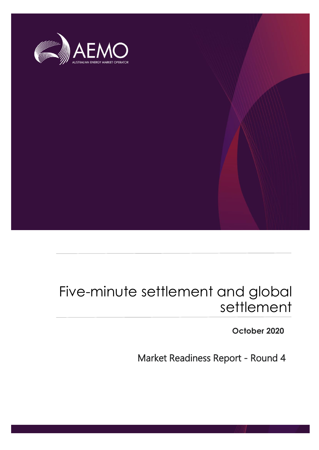

# Five-minute settlement and global settlement

**October 2020**

Market Readiness Report - Round 4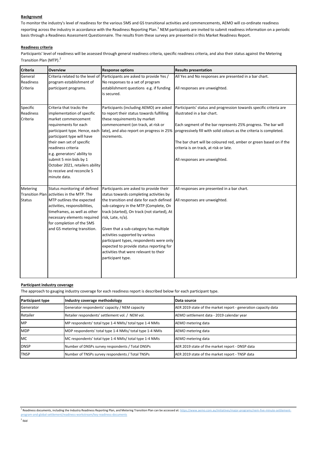#### **Background**

To monitor the industry's level of readiness for the various 5MS and GS transitional activities and commencements, AEMO will co-ordinate readiness reporting across the industry in accordance with the Readiness Reporting Plan.<sup>1</sup> NEM participants are invited to submit readiness information on a periodic basis through a Readiness Assessment Questionnaire. The results from these surveys are presented in this Market Readiness Report.

#### **Readiness criteria**

Participants' level of readiness will be assessed through general readiness criteria, specific readiness criteria, and also their status against the Metering Transition Plan (MTP).<sup>2</sup>

| <b>Criteria</b>  | <b>Overview</b>                            | <b>Response options</b>                     | <b>Results presentation</b>                                         |
|------------------|--------------------------------------------|---------------------------------------------|---------------------------------------------------------------------|
| General          | Criteria related to the level of           | Participants are asked to provide Yes /     | All Yes and No responses are presented in a bar chart.              |
| Readiness        | program establishment of                   | No responses to a set of program            |                                                                     |
| Criteria         | participant programs.                      | establishment questions e.g. if funding     | All responses are unweighted.                                       |
|                  |                                            | is secured.                                 |                                                                     |
| Specific         | Criteria that tracks the                   | Participants (including AEMO) are asked     | Participants' status and progression towards specific criteria are  |
| <b>Readiness</b> | implementation of specific                 | to report their status towards fulfilling   | illustrated in a bar chart.                                         |
| Criteria         | market commencement                        | these requirements by market                |                                                                     |
|                  | requirements for each                      | commencement (on track, at risk or          | Each segment of the bar represents 25% progress. The bar will       |
|                  | participant type. Hence, each              | late), and also report on progress in 25%   | progressively fill with solid colours as the criteria is completed. |
|                  | participant type will have                 | increments.                                 |                                                                     |
|                  | their own set of specific                  |                                             | The bar chart will be coloured red, amber or green based on if the  |
|                  | readiness criteria                         |                                             | criteria is on track, at risk or late.                              |
|                  | e.g. generators' ability to                |                                             |                                                                     |
|                  | submit 5 min bids by 1                     |                                             | All responses are unweighted.                                       |
|                  | October 2021, retailers ability            |                                             |                                                                     |
|                  | to receive and reconcile 5                 |                                             |                                                                     |
|                  | minute data.                               |                                             |                                                                     |
| Metering         | Status monitoring of defined               | Participants are asked to provide their     | All responses are presented in a bar chart.                         |
|                  | Transition Plan activities in the MTP. The | status towards completing activities by     |                                                                     |
| <b>Status</b>    | MTP outlines the expected                  | the transition end date for each defined    | All responses are unweighted.                                       |
|                  | activities, responsibilities,              | sub-category in the MTP (Complete, On       |                                                                     |
|                  | timeframes, as well as other               | track (started), On track (not started), At |                                                                     |
|                  | necessary elements required                | risk, Late, n/a).                           |                                                                     |
|                  | for completion of the 5MS                  |                                             |                                                                     |
|                  | and GS metering transition.                | Given that a sub-category has multiple      |                                                                     |
|                  |                                            | activities supported by various             |                                                                     |
|                  |                                            | participant types, respondents were only    |                                                                     |
|                  |                                            | expected to provide status reporting for    |                                                                     |
|                  |                                            | activities that were relevant to their      |                                                                     |
|                  |                                            | participant type.                           |                                                                     |
|                  |                                            |                                             |                                                                     |
|                  |                                            |                                             |                                                                     |

#### **Participant industry coverage**

The approach to gauging industry coverage for each readiness report is described below for each participant type.

| Participant type | Industry coverage methodology                             | Data source                                                    |
|------------------|-----------------------------------------------------------|----------------------------------------------------------------|
| Generator        | Generator respondents' capacity / NEM capacity            | AER 2019 state of the market report - generation capacity data |
| Retailer         | Retailer respondents' settlement vol. / NEM vol.          | AEMO settlement data - 2019 calendar year                      |
| <b>IMP</b>       | MP respondents' total type 1-4 NMIs/ total type 1-4 NMIs  | AEMO metering data                                             |
| <b>MDP</b>       | MDP respondents' total type 1-4 NMIs/ total type 1-4 NMIs | AEMO metering data                                             |
| <b>IMC</b>       | MC respondents' total type 1-4 NMIs/ total type 1-4 NMIs  | AEMO metering data                                             |
| <b>DNSP</b>      | Number of DNSPs survey respondents / Total DNSPs          | AER 2019 state of the market report - DNSP data                |
| <b>TNSP</b>      | Number of TNSPs survey respondents / Total TNSPs          | AER 2019 state of the market report - TNSP data                |

program-and-global-settlement/readiness-workstream/key-readiness-documents

<sup>&</sup>lt;sup>1</sup> Readiness documents, including the Industry Readiness Reporting Plan, and Metering Transition Plan can be accessed at: https://www.aemo.com.au/initiatives/major-programs/nem-five-minute-settlement-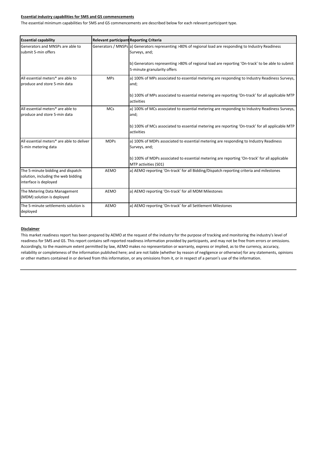#### **Essential industry capabilities for 5MS and GS commencements**

The essential minimum capabilities for 5MS and GS commencements are described below for each relevant participant type.

| <b>Essential capability</b>                                  | <b>Relevant participant Reporting Criteria</b> |                                                                                                                               |
|--------------------------------------------------------------|------------------------------------------------|-------------------------------------------------------------------------------------------------------------------------------|
| Generators and MNSPs are able to<br>submit 5-min offers      |                                                | Generators / MNSPs a) Generators representing >80% of regional load are responding to Industry Readiness<br>Surveys, and;     |
|                                                              |                                                | b) Generators representing >80% of regional load are reporting 'On-track' to be able to submit<br>5-minute granularity offers |
| All essential meters* are able to                            | <b>MPs</b>                                     | a) 100% of MPs associated to essential metering are responding to Industry Readiness Surveys,                                 |
| produce and store 5-min data                                 |                                                | and;                                                                                                                          |
|                                                              |                                                | b) 100% of MPs associated to essential metering are reporting 'On-track' for all applicable MTP<br>activities                 |
| All essential meters* are able to                            | <b>MCs</b>                                     | a) 100% of MCs associated to essential metering are responding to Industry Readiness Surveys,                                 |
| produce and store 5-min data                                 |                                                | and;                                                                                                                          |
|                                                              |                                                | b) 100% of MCs associated to essential metering are reporting 'On-track' for all applicable MTP<br>activities                 |
| All essential meters* are able to deliver                    | <b>MDPs</b>                                    | a) 100% of MDPs associated to essential metering are responding to Industry Readiness                                         |
| 5-min metering data                                          |                                                | Surveys, and;                                                                                                                 |
|                                                              |                                                | b) 100% of MDPs associated to essential metering are reporting 'On-track' for all applicable<br>MTP activities (S01)          |
| The 5-minute bidding and dispatch                            | <b>AEMO</b>                                    | a) AEMO reporting 'On-track' for all Bidding/Dispatch reporting criteria and milestones                                       |
| solution, including the web bidding<br>interface is deployed |                                                |                                                                                                                               |
| The Metering Data Management<br>(MDM) solution is deployed   | <b>AEMO</b>                                    | a) AEMO reporting 'On-track' for all MDM Milestones                                                                           |
| The 5-minute settlements solution is                         | <b>AEMO</b>                                    | a) AEMO reporting 'On-track' for all Settlement Milestones                                                                    |
| deployed                                                     |                                                |                                                                                                                               |

#### **Disclaimer**

This market readiness report has been prepared by AEMO at the request of the industry for the purpose of tracking and monitoring the industry's level of readiness for 5MS and GS. This report contains self-reported readiness information provided by participants, and may not be free from errors or omissions. Accordingly, to the maximum extent permitted by law, AEMO makes no representation or warranty, express or implied, as to the currency, accuracy, reliability or completeness of the information published here; and are not liable (whether by reason of negligence or otherwise) for any statements, opinions or other matters contained in or derived from this information, or any omissions from it, or in respect of a person's use of the information.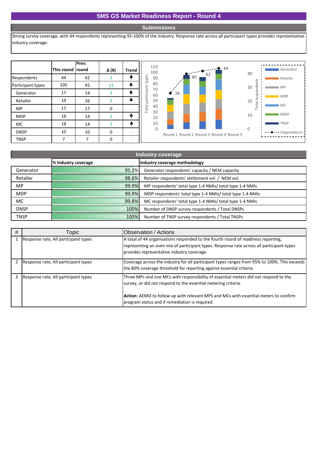#### **Submissions**

Strong survey coverage, with 44 respondents representing 95-100% of the industry. Response rate across all participant types provides representative industry coverage.

|                   | This round round | Prev. | Δ (#)          | <b>Trend</b> |                   |
|-------------------|------------------|-------|----------------|--------------|-------------------|
| Respondents       | 44               | 42    | $\overline{2}$ |              |                   |
| Participant types | 105              | 92    | 13             |              | participant types |
| Generator         | 17               | 14    | 3              |              |                   |
| Retailer          | 19               | 16    | 3              |              |                   |
| <b>MP</b>         | 17               | 17    | 0              |              | <b>Total</b>      |
| <b>MDP</b>        | 16               | 14    | $\overline{2}$ |              |                   |
| MC                | 19               | 14    | 5              |              |                   |
| <b>DNSP</b>       | 10               | 10    | Ω              |              |                   |
| <b>TNSP</b>       |                  |       | 0              |              |                   |



| <b>Industry coverage</b> |                     |                                                           |  |  |  |  |  |
|--------------------------|---------------------|-----------------------------------------------------------|--|--|--|--|--|
|                          | % Industry coverage | Industry coverage methodology                             |  |  |  |  |  |
| Generator                | 95.1%               | Generator respondents' capacity / NEM capacity            |  |  |  |  |  |
| Retailer                 | 98.6%               | Retailer respondents' settlement vol. / NEM vol.          |  |  |  |  |  |
| MP.                      | 99.9%               | MP respondents' total type 1-4 NMIs/ total type 1-4 NMIs  |  |  |  |  |  |
| <b>MDP</b>               | 99.9%               | MDP respondents' total type 1-4 NMIs/ total type 1-4 NMIs |  |  |  |  |  |
| MC.                      | 99.8%               | MC respondents' total type 1-4 NMIs/ total type 1-4 NMIs  |  |  |  |  |  |
| <b>DNSP</b>              | 100%                | Number of DNSP survey respondents / Total DNSPs           |  |  |  |  |  |
| <b>TNSP</b>              | 100%                | Number of TNSP survey respondents / Total TNSPs           |  |  |  |  |  |

| # | Горіс.                               | Observation / Actions                                                                                                                                                                                                                                                                            |
|---|--------------------------------------|--------------------------------------------------------------------------------------------------------------------------------------------------------------------------------------------------------------------------------------------------------------------------------------------------|
|   | Response rate, All participant types | A total of 44 organisations responded to the fourth round of readiness reporting,<br>representing an even mix of participant types. Response rate across all participant types<br>provides representative industry coverage.                                                                     |
|   | Response rate, All participant types | Coverage across the industry for all participant types ranges from 95% to 100%. This exceeds<br>the 80% coverage threshold for reporting against essential criteria.                                                                                                                             |
|   | Response rate, All participant types | Three MPs and one MCs with responsibility of essential meters did not respond to the<br>survey, or did not respond to the essential metering criteria.<br>Action: AEMO to follow up with relevant MPS and MCs with essential meters to confirm<br>program status and if remediation is required. |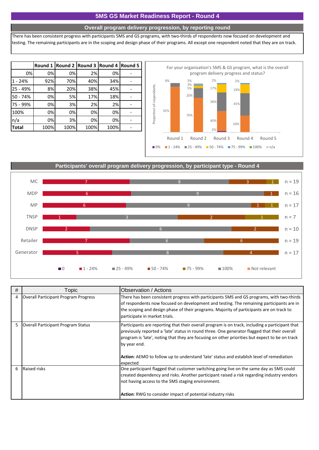#### **Overall program delivery progression, by reporting round**

There has been consistent progress with participants 5MS and GS programs, with two-thirds of respondents now focused on development and testing. The remaining participants are in the scoping and design phase of their programs. All except one respondent noted that they are on track.

|           |      | Round 1 Round 2 Round 3 Round 4 Round 5 |      |      |  |                           |     | For your organisation's 51 |               |
|-----------|------|-----------------------------------------|------|------|--|---------------------------|-----|----------------------------|---------------|
| 0%        | 0%   | 0%                                      | 2%   | 0%   |  |                           |     |                            | program deliv |
| $1 - 24%$ | 92%  | 70%                                     | 40%  | 34%  |  |                           | 8%  | 3%                         | 2%            |
| 25 - 49%  | 8%   | 20%                                     | 38%  | 45%  |  |                           |     | 3%<br>5%                   | 17%           |
| 50 - 74%  | 0%   | <b>5%</b>                               | 17%  | 18%  |  |                           |     | 20%                        |               |
| 75 - 99%  | 0%   | 3%                                      | 2%   | 2%   |  |                           |     |                            | 38%           |
| 100%      | 0%   | 0%                                      | 0%   | 0%   |  |                           | 92% | 70%                        |               |
| n/a       | 0%   | 3%                                      | 0%   | 0%   |  | Proportion of respondents |     |                            | 40%           |
| Total     | 100% | 100%                                    | 100% | 100% |  |                           |     |                            | 2%            |



**Participants' overall program delivery progression, by participant type - Round 4**



| # | Topic                                | Observation / Actions                                                                                                                                                                                                                                                                                                                                                                                                            |
|---|--------------------------------------|----------------------------------------------------------------------------------------------------------------------------------------------------------------------------------------------------------------------------------------------------------------------------------------------------------------------------------------------------------------------------------------------------------------------------------|
| 4 | Overall Participant Program Progress | There has been consistent progress with participants 5MS and GS programs, with two-thirds<br>of respondents now focused on development and testing. The remaining participants are in<br>the scoping and design phase of their programs. Majority of participants are on track to<br>participate in market trials.                                                                                                               |
| 5 | Overall Participant Program Status   | Participants are reporting that their overall program is on track, including a participant that<br>previously reported a 'late' status in round three. One generator flagged that their overall<br>program is 'late', noting that they are focusing on other priorities but expect to be on track<br>by year end.<br><b>Action:</b> AEMO to follow up to understand 'late' status and establish level of remediation<br>expected |
| 6 | <b>Raised risks</b>                  | One participant flagged that customer switching going live on the same day as 5MS could<br>created dependency and risks. Another participant raised a risk regarding industry vendors<br>not having access to the 5MS staging environment.<br><b>Action:</b> RWG to consider impact of potential industry risks                                                                                                                  |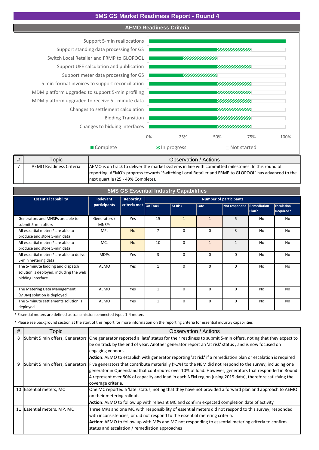#### **AEMO Readiness Criteria**

Changes to bidding interfaces Bidding Transition Changes to settlement calculation MDM platform upgraded to receive 5 - minute data MDM platform upgraded to support 5-min profiling 5 min-format invoices to support reconciliation Support meter data processing for GS Support UFE calculation and publication Switch Local Retailer and FRMP to GLOPOOL Support standing data processing for GS Support 5-min reallocations



| ™opic                          | Observation / Actions                                                                                 |
|--------------------------------|-------------------------------------------------------------------------------------------------------|
| <b>AEMO Readiness Criteria</b> | AEMO is on track to deliver the market systems in line with committed milestones. In this round of    |
|                                | reporting, AEMO's progress towards 'Switching Local Retailer and FRMP to GLOPOOL' has advanced to the |
|                                | next quartile (25 - 49% Complete).                                                                    |

| <b>5MS GS Essential Industry Capabilities</b>                                                     |                                     |                       |                               |                |              |                           |           |                                       |  |
|---------------------------------------------------------------------------------------------------|-------------------------------------|-----------------------|-------------------------------|----------------|--------------|---------------------------|-----------|---------------------------------------|--|
| <b>Essential capability</b>                                                                       | <b>Reporting</b><br><b>Relevant</b> |                       | <b>Number of participants</b> |                |              |                           |           |                                       |  |
|                                                                                                   | participants                        | criteria met On Track |                               | <b>At Risk</b> | Late         | Not responded Remediation | Plan?     | <b>Escalation</b><br><b>Required?</b> |  |
| Generators and MNSPs are able to<br>submit 5-min offers                                           | Generators /<br><b>MNSPs</b>        | Yes                   | 15                            | $\mathbf{1}$   | $\mathbf{1}$ | 5                         | <b>No</b> | <b>No</b>                             |  |
| All essential meters* are able to<br>produce and store 5-min data                                 | <b>MPs</b>                          | <b>No</b>             | $\overline{7}$                | $\Omega$       | 0            | 3                         | No.       | <b>No</b>                             |  |
| All essential meters* are able to<br>produce and store 5-min data                                 | <b>MCs</b>                          | <b>No</b>             | 10                            | $\Omega$       | $\mathbf{1}$ | $\mathbf{1}$              | No        | <b>No</b>                             |  |
| All essential meters* are able to deliver<br>5-min metering data                                  | <b>MDPs</b>                         | Yes                   | 3                             | $\Omega$       | 0            | $\Omega$                  | No        | No                                    |  |
| The 5-minute bidding and dispatch<br>solution is deployed, including the web<br>bidding interface | AEMO                                | Yes                   | $\mathbf{1}$                  | $\Omega$       | 0            | $\Omega$                  | No        | <b>No</b>                             |  |
| The Metering Data Management<br>(MDM) solution is deployed                                        | AEMO                                | Yes                   | 1                             | $\Omega$       | 0            | 0                         | No        | <b>No</b>                             |  |
| The 5-minute settlements solution is<br>deployed                                                  | AEMO                                | Yes                   | $\mathbf{1}$                  | 0              | 0            | 0                         | No        | <b>No</b>                             |  |

\* Essential meters are defined as transmission connected types 1-4 meters

\* Please see background section at the start of this report for more information on the reporting criteria for essential industry capabilities

| # | Topic                       | Observation / Actions                                                                                                                         |
|---|-----------------------------|-----------------------------------------------------------------------------------------------------------------------------------------------|
| 8 |                             | Submit 5 min offers, Generators One generator reported a 'late' status for their readiness to submit 5-min offers, noting that they expect to |
|   |                             | be on track by the end of year. Another generator report an 'at risk' status, and is now focused on                                           |
|   |                             | engaging vendors.                                                                                                                             |
|   |                             | <b>Action:</b> AEMO to establish with generator reporting 'at risk' if a remediation plan or escalation is required                           |
| 9 |                             | Submit 5 min offers, Generators Five generators that contribute materially (>1%) to the NEM did not respond to the survey, including one      |
|   |                             | generator in Queensland that contributes over 10% of load. However, generators that responded in Round                                        |
|   |                             | 4 represent over 80% of capacity and load in each NEM region (using 2019 data), therefore satisfying the                                      |
|   |                             | coverage criteria.                                                                                                                            |
|   | 10 Essential meters, MC     | One MC reported a 'late' status, noting that they have not provided a forward plan and approach to AEMO                                       |
|   |                             | on their metering rollout.                                                                                                                    |
|   |                             | Action: AEMO to follow up with relevant MC and confirm expected completion date of activity                                                   |
|   | 11 Essential meters, MP, MC | Three MPs and one MC with responsibility of essential meters did not respond to this survey, responded                                        |
|   |                             | with inconsistencies, or did not respond to the essential metering criteria.                                                                  |
|   |                             | <b>Action:</b> AEMO to follow up with MPs and MC not responding to essential metering criteria to confirm                                     |
|   |                             | status and escalation / remediation approaches                                                                                                |
|   |                             |                                                                                                                                               |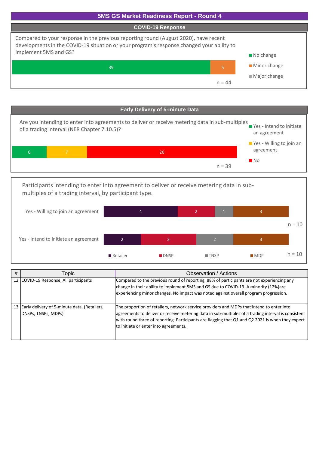



2 4 3 2 3 3 Yes - Intend to initiate an agreement Yes - Willing to join an agreement Participants intending to enter into agreement to deliver or receive metering data in submultiples of a trading interval, by participant type. Retailer DNSP TNSP MDP  $n = 10$  $n = 10$ 

| # | Topic                                                                  | Observation / Actions                                                                                                                                                                                                                                                                                                                         |
|---|------------------------------------------------------------------------|-----------------------------------------------------------------------------------------------------------------------------------------------------------------------------------------------------------------------------------------------------------------------------------------------------------------------------------------------|
|   | 12 COVID-19 Response, All participants                                 | Compared to the previous round of reporting, 88% of participants are not experiencing any<br>change in their ability to implement 5MS and GS due to COVID-19. A minority (12%) are<br>experiencing minor changes. No impact was noted against overall program progression.                                                                    |
|   | 13 Early delivery of 5-minute data, (Retailers,<br>DNSPs, TNSPs, MDPs) | The proportion of retailers, network service providers and MDPs that intend to enter into<br>agreements to deliver or receive metering data in sub-multiples of a trading interval is consistent<br>with round three of reporting. Participants are flagging that Q1 and Q2 2021 is when they expect<br>to initiate or enter into agreements. |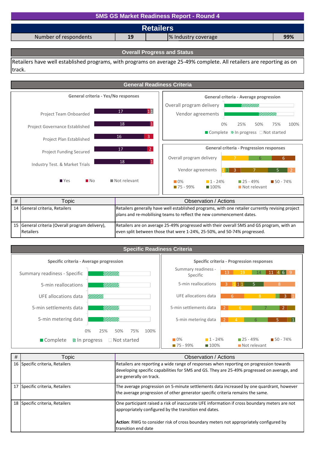## % Industry coverage **5MS GS Market Readiness Report - Round 4 Retailers** Number of respondents **19 99%**

#### **Overall Progress and Status**

Retailers have well established programs, with programs on average 25-49% complete. All retailers are reporting as on track.



# **Specific Readiness Criteria**



| # | Topic                           | Observation / Actions                                                                                                                                                                                                                                                 |
|---|---------------------------------|-----------------------------------------------------------------------------------------------------------------------------------------------------------------------------------------------------------------------------------------------------------------------|
|   | 16 Specific criteria, Retailers | Retailers are reporting a wide range of responses when reporting on progression towards<br>developing specific capabilities for 5MS and GS. They are 25-49% progressed on average, and<br>are generally on track.                                                     |
|   | 17 Specific criteria, Retailers | The average progression on 5-minute settlements data increased by one quardrant, however<br>the average progression of other generator specific criteria remains the same.                                                                                            |
|   | 18 Specific criteria, Retailers | One participant raised a risk of inaccurate UFE information if cross boundary meters are not<br>appropriately configured by the transition end dates.<br>Action: RWG to consider risk of cross boundary meters not appropriately configured by<br>transition end date |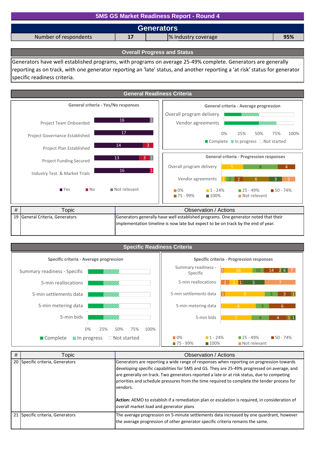| 5MS GS Market Readiness Report - Round 4                  |  |  |  |  |  |  |
|-----------------------------------------------------------|--|--|--|--|--|--|
| <b>Generators</b>                                         |  |  |  |  |  |  |
| Number of respondents<br>% Industry coverage<br>17<br>95% |  |  |  |  |  |  |
|                                                           |  |  |  |  |  |  |

**Overall Progress and Status**

Generators have well established programs, with programs on average 25-49% complete. Generators are generally reporting as on track, with one generator reporting an 'late' status, and another reporting a 'at risk' status for generator specific readiness criteria.



| <b>Specific Readiness Criteria</b>           |                                                                                                            |
|----------------------------------------------|------------------------------------------------------------------------------------------------------------|
| Specific criteria - Average progression      | Specific criteria - Progression responses                                                                  |
| Summary readiness - Specific<br>VIIIII.      | Summary readiness -<br>26<br>26<br>10<br>14<br>Specific                                                    |
| 5-min reallocations<br>VIIII I               | 5-min reallocations                                                                                        |
| VIIIII.<br>5-min settlements data            | 5-min settlements data<br>$\overline{9}$                                                                   |
| VIII III<br>5-min metering data              | 5-min metering data<br>8<br>6                                                                              |
| 5-min bids<br>VIIII II                       | 5-min bids                                                                                                 |
| 0%<br>25%<br>50%<br>75%<br>100%              |                                                                                                            |
| % In progress<br>□ Not started<br>■ Complete | $1 - 24%$<br>$25 - 49%$<br>$150 - 74%$<br>$\Box$ 0%<br>$175 - 99\%$<br>Not relevant<br>$\blacksquare$ 100% |

| # | Topic                            | Observation / Actions                                                                                                                                                                                                                                                                                                                                                                                                                                                                                                                         |
|---|----------------------------------|-----------------------------------------------------------------------------------------------------------------------------------------------------------------------------------------------------------------------------------------------------------------------------------------------------------------------------------------------------------------------------------------------------------------------------------------------------------------------------------------------------------------------------------------------|
|   | 20 Specific criteria, Generators | Generators are reporting a wide range of responses when reporting on progression towards<br>developing specific capabilities for 5MS and GS. They are 25-49% progressed on average, and<br>are generally on track. Two generators reported a late or at risk status, due to competing<br>priorities and schedule pressures from the time required to complete the tender process for<br>vendors.<br>Action: AEMO to establish if a remediation plan or escalation is required, in consideration of<br>overall market load and generator plans |
|   | 21 Specific criteria, Generators | The average progression on 5-minute settlements data increased by one quardrant, however<br>the average progression of other generator specific criteria remains the same.                                                                                                                                                                                                                                                                                                                                                                    |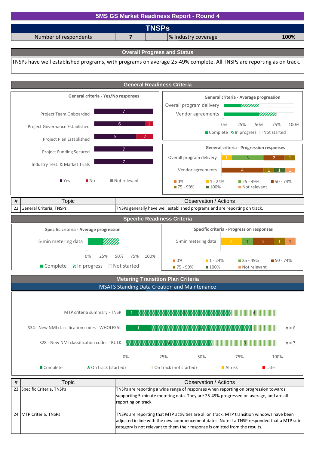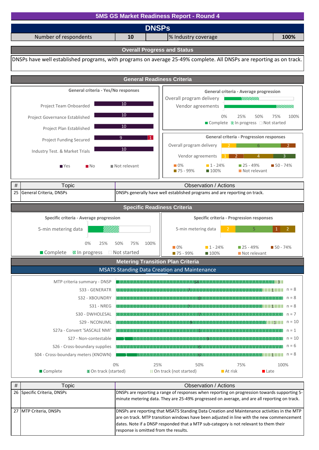

| 27 IMTP Criteria. DNSPs | <b>IDNSPs are reporting that MSATS Standing Data Creation and Maintenance activities in the MTP</b> |  |
|-------------------------|-----------------------------------------------------------------------------------------------------|--|
|                         | are on track. MTP transition windows have been adjusted in line with the new commencement           |  |
|                         | dates. Note if a DNSP responded that a MTP sub-category is not relevant to them their               |  |
|                         | response is omitted from the results.                                                               |  |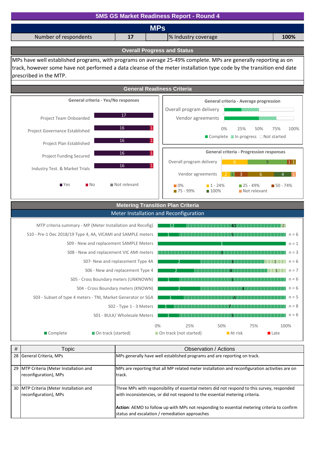![](_page_11_Figure_0.jpeg)

| # | Topic                                                            | Observation / Actions                                                                                                                                                                                                                                                                                                        |
|---|------------------------------------------------------------------|------------------------------------------------------------------------------------------------------------------------------------------------------------------------------------------------------------------------------------------------------------------------------------------------------------------------------|
|   | 28 General Criteria, MPs                                         | MPs generally have well established programs and are reporting on track.                                                                                                                                                                                                                                                     |
|   | 29 MTP Criteria (Meter Installation and<br>reconfiguration), MPs | MPs are reporting that all MP related meter installation and reconfiguration activities are on<br>track.                                                                                                                                                                                                                     |
|   | 30 MTP Criteria (Meter Installation and<br>reconfiguration), MPs | Three MPs with responsibility of essential meters did not respond to this survey, responded<br>with inconsistencies, or did not respond to the essential metering criteria.<br>Action: AEMO to follow up with MPs not responding to essential metering criteria to confirm<br>status and escalation / remediation approaches |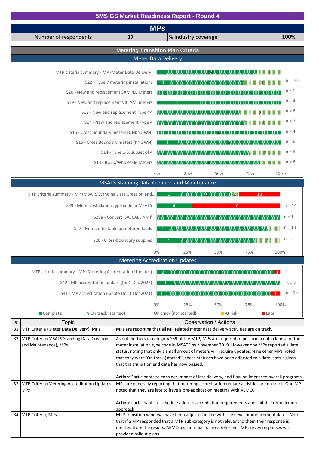|      | <b>5MS GS Market Readiness Report - Round 4</b><br>$n = 9$                          |                                     |  |                                                                                                                                                                                                |          |
|------|-------------------------------------------------------------------------------------|-------------------------------------|--|------------------------------------------------------------------------------------------------------------------------------------------------------------------------------------------------|----------|
|      |                                                                                     |                                     |  | <b>MPs</b>                                                                                                                                                                                     |          |
|      | Number of respondents                                                               | 17                                  |  | % Industry coverage                                                                                                                                                                            | 100%     |
|      |                                                                                     |                                     |  | <b>Metering Transition Plan Criteria</b>                                                                                                                                                       |          |
|      |                                                                                     |                                     |  | <b>Meter Data Delivery</b>                                                                                                                                                                     |          |
|      | MTP criteria summary - MP (Meter Data Delivery)                                     |                                     |  |                                                                                                                                                                                                |          |
|      |                                                                                     | S22 - Type 7 metering installations |  |                                                                                                                                                                                                | $n = 10$ |
|      | S20 - New and replacement SAMPLE Meters                                             |                                     |  |                                                                                                                                                                                                | $n = 1$  |
|      | S19 - New and replacement VIC AMI meters                                            |                                     |  |                                                                                                                                                                                                | $n = 3$  |
|      | S18 - New and replacement Type 4A                                                   |                                     |  |                                                                                                                                                                                                | $n = 6$  |
|      |                                                                                     | S17 - New and replacement Type 4    |  |                                                                                                                                                                                                | $n = 7$  |
|      | S16 - Cross Boundary meters (UNKNOWN)                                               |                                     |  |                                                                                                                                                                                                | $n = 4$  |
|      | S15 - Cross Boundary meters (KNOWN)                                                 |                                     |  | <b>MODERN DESKRIP</b>                                                                                                                                                                          | $n = 6$  |
|      |                                                                                     | S14 - Type 1-3, subset of 4         |  |                                                                                                                                                                                                | $n = 8$  |
|      |                                                                                     | S13 - BULK/Wholesale Meters         |  |                                                                                                                                                                                                | $n = 6$  |
|      |                                                                                     |                                     |  | 0%<br>25%<br>50%<br>75%                                                                                                                                                                        | 100%     |
|      |                                                                                     |                                     |  | <b>MSATS Standing Data Creation and Maintenance</b>                                                                                                                                            |          |
|      | MTP criteria summary - MP (MSATS Standing Data Creation and                         |                                     |  | 6<br>10                                                                                                                                                                                        |          |
|      | S39 - Meter installation type code in MSATS                                         |                                     |  | 10<br>$\overline{4}$                                                                                                                                                                           | $n = 14$ |
|      |                                                                                     | S27a - Convert 'SASCALE NMI'        |  |                                                                                                                                                                                                | $n = 1$  |
|      | S27 - Non-contestable unmetered loads                                               |                                     |  | 8111110111111                                                                                                                                                                                  | $n = 10$ |
|      |                                                                                     | S26 - Cross-boundary supplies       |  | <u> 1983: San Angeles (1986), prinsipaliteit (1986), prinsipaliteit (1986), prinsipaliteit (1986), prinsipaliteit</u>                                                                          | $n = 5$  |
|      |                                                                                     |                                     |  | $0\%$<br>25%<br>50%<br>75%                                                                                                                                                                     | 100%     |
|      |                                                                                     |                                     |  | <b>Metering Accreditation Updates</b>                                                                                                                                                          |          |
|      | MTP criteria summary - MP (Metering Accreditation Updates)                          |                                     |  | <b>1990年19月11日 - 1990年19月11日 - 1990年1月11日 - 1990年1月11日 - 1990年1月11日 - 1990年1月11日 - 1</b>                                                                                                       |          |
|      | S42 - MP accreditation update (for 1 Dec 2022)                                      |                                     |  |                                                                                                                                                                                                | $n = 7$  |
|      | S41 - MP accreditation update (for 1 Oct 2021)                                      |                                     |  |                                                                                                                                                                                                | $n = 13$ |
|      |                                                                                     |                                     |  | 0%<br>25%<br>50%<br>75%                                                                                                                                                                        | 100%     |
|      | Complete<br>18 On track (started)                                                   |                                     |  | III On track (not started)<br>$\blacksquare$ At risk<br><b>■</b> Late                                                                                                                          |          |
| $\#$ | Topic                                                                               |                                     |  | Observation / Actions                                                                                                                                                                          |          |
|      | 31 MTP Criteria (Meter Data Delivery), MPs                                          |                                     |  | MPs are reporting that all MP related meter data delivery activities are on track.                                                                                                             |          |
|      | 32 MTP Criteria (MSATS Standing Data Creation<br>and Maintenance), MPs              |                                     |  | As outlined in sub-category S39 of the MTP, MPs are required to perform a data cleanse of the<br>meter installation type code in MSATS by November 2019. However one MPs reported a 'late'     |          |
|      |                                                                                     |                                     |  | status, noting that only a small amout of meters will require updates. Nine other MPs noted<br>that they were 'On track (started)', these statuses have been adjusted to a 'late' status given |          |
|      |                                                                                     |                                     |  | that the transition end date has now passed.                                                                                                                                                   |          |
|      |                                                                                     |                                     |  | Action: Participants to consider impact of late delivery, and flow on impact to overall programs                                                                                               |          |
|      |                                                                                     |                                     |  | 33 MTP Criteria (Metering Accreditation Updates), MPs are generally reporting that metering accreditation update activities are on track. One MP                                               |          |
|      | noted that they are late to have a pre-application meeting with AEMO.<br><b>MPs</b> |                                     |  |                                                                                                                                                                                                |          |
|      |                                                                                     | approach.                           |  | Action: Participants to schedule address accrediation requirements and suitable remediation                                                                                                    |          |
|      | 34 MTP Criteria, MPs                                                                |                                     |  | MTP transition windows have been adjusted in line with the new commencement dates. Note                                                                                                        |          |
|      |                                                                                     |                                     |  | that if a MP responded that a MTP sub-category is not relevant to them their response is<br>omitted from the results. AEMO also intends to cross reference MP survey responses with            |          |
|      |                                                                                     | provided rollout plans.             |  |                                                                                                                                                                                                |          |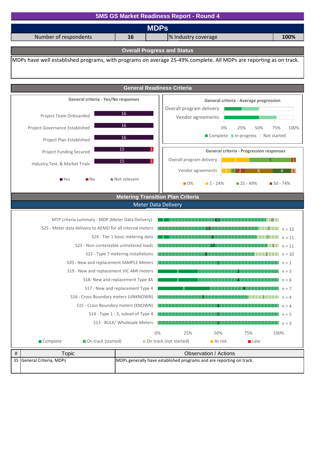![](_page_13_Figure_0.jpeg)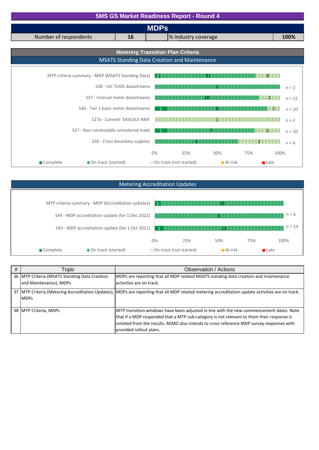| <b>5MS GS Market Readiness Report - Round 4</b>  |                                  |       |                                                                                                                                                                                                                                      |         |                                                                                                                      |          |
|--------------------------------------------------|----------------------------------|-------|--------------------------------------------------------------------------------------------------------------------------------------------------------------------------------------------------------------------------------------|---------|----------------------------------------------------------------------------------------------------------------------|----------|
|                                                  | <b>MDPs</b>                      |       |                                                                                                                                                                                                                                      |         |                                                                                                                      |          |
| Number of respondents                            | 16                               |       | % Industry coverage                                                                                                                                                                                                                  |         |                                                                                                                      | 100%     |
|                                                  |                                  |       | <b>Metering Transition Plan Criteria</b>                                                                                                                                                                                             |         |                                                                                                                      |          |
|                                                  |                                  |       | <b>MSATS Standing Data Creation and Maintenance</b>                                                                                                                                                                                  |         |                                                                                                                      |          |
|                                                  |                                  |       |                                                                                                                                                                                                                                      |         |                                                                                                                      |          |
| MTP criteria summary - MDP (MSATS Standing Data) |                                  |       |                                                                                                                                                                                                                                      |         | <u>134   145   145   145   146   147   148   149   149   149   149   149   149   149   149   149   149   149   1</u> |          |
|                                                  | S38 - VIC TUOS datastreams       |       |                                                                                                                                                                                                                                      |         |                                                                                                                      | $n = 2$  |
|                                                  | S37 - Interval meter datastreams |       |                                                                                                                                                                                                                                      | mos     |                                                                                                                      | $n = 12$ |
| S <sub>36</sub> - Tier 1 basic meter datastreams |                                  |       |                                                                                                                                                                                                                                      |         | <b>1999 - 1999 - 1999 - 1999 - 1999 - 1999 - 1999 - 1999 - 1999 - 1999 - 1999 - 1999</b>                             | $n = 10$ |
|                                                  | S27a - Convert 'SASCALE NMI'     |       | <u>All the contract of the contract of the contract of the contract of the contract of the contract of the contract of the contract of the contract of the contract of the contract of the contract of the contract of the contr</u> |         |                                                                                                                      | $n = 1$  |
| S27 - Non-contestable unmetered loads            |                                  |       | (明明明明明明明明明明                                                                                                                                                                                                                          |         | 33. SE SE SE SE SE SE SE SE UNITEDAD DE LA VIVIL                                                                     | $n = 10$ |
|                                                  | S26 - Cross boundary supplies    |       |                                                                                                                                                                                                                                      |         |                                                                                                                      | $n = 6$  |
|                                                  |                                  | $0\%$ | 25%                                                                                                                                                                                                                                  | 50%     | 75%                                                                                                                  | 100%     |
| 图 On track (started)<br>Complete                 |                                  |       | III On track (not started)                                                                                                                                                                                                           | At risk | <b>■</b> Late                                                                                                        |          |

# Metering Accreditation Updates

|            | MTP criteria summary - MDP (Accreditation updates) |    | $1$ . The construction of the construction of $\mathbf{L}$ is a set of the construction of $\mathbf{L}$ |                        |     |                     |
|------------|----------------------------------------------------|----|---------------------------------------------------------------------------------------------------------|------------------------|-----|---------------------|
|            | S44 - MDP accreditation update (for 1 Dec 2022)    |    |                                                                                                         |                        |     | $n = 6$             |
|            | S43 - MDP accreditation update (for 1 Oct 2021)    |    |                                                                                                         |                        |     | $n = 14$            |
|            |                                                    | 0% | 25%                                                                                                     | 50%                    | 75% | 100%                |
| ■ Complete | <b>BO</b> n track (started)                        |    | III On track (not started)                                                                              | $\blacksquare$ At risk |     | $\blacksquare$ Late |

| # | Topic                                                                   | Observation / Actions                                                                                                                                                                                                                                                                                       |
|---|-------------------------------------------------------------------------|-------------------------------------------------------------------------------------------------------------------------------------------------------------------------------------------------------------------------------------------------------------------------------------------------------------|
|   | 36 MTP Criteria (MSATS Standing Data Creation<br>and Maintenance), MDPs | MDPs are reporting that all MDP related MSATS standing data creation and maintenance<br>activities are on track.                                                                                                                                                                                            |
|   | <b>IMDPs</b>                                                            | 37 MTP Criteria (Metering Accreditation Updates), MDPs are reporting that all MDP related metering accreditation update activities are on track.                                                                                                                                                            |
|   | 38 MTP Criteria, MDPs                                                   | MTP transition windows have been adjusted in line with the new commencement dates. Note<br>that if a MDP responded that a MTP sub-category is not relevant to them their response is<br>omitted from the results. AEMO also intends to cross reference MDP survey responses with<br>provided rollout plans. |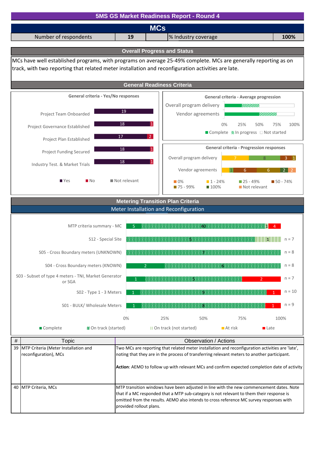![](_page_15_Figure_0.jpeg)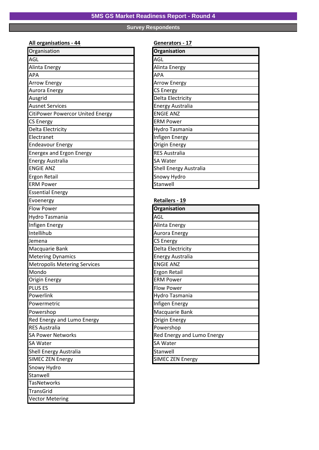# **Survey Respondents**

### **All organisations - 44 Generators - 17**

| Organisation                            | Organisation                  |
|-----------------------------------------|-------------------------------|
| AGL                                     | AGL                           |
| Alinta Energy                           | Alinta Energy                 |
| APA                                     | APA                           |
| <b>Arrow Energy</b>                     | <b>Arrow Energy</b>           |
| Aurora Energy                           | <b>CS Energy</b>              |
| Ausgrid                                 | Delta Electricity             |
| <b>Ausnet Services</b>                  | <b>Energy Australia</b>       |
| <b>CitiPower Powercor United Energy</b> | <b>ENGIE ANZ</b>              |
| <b>CS Energy</b>                        | <b>ERM Power</b>              |
| Delta Electricity                       | Hydro Tasmania                |
| Electranet                              | Infigen Energy                |
| <b>Endeavour Energy</b>                 | Origin Energy                 |
| <b>Energex and Ergon Energy</b>         | <b>RES Australia</b>          |
| <b>Energy Australia</b>                 | <b>SA Water</b>               |
| <b>ENGIE ANZ</b>                        | <b>Shell Energy Australia</b> |
| Ergon Retail                            | Snowy Hydro                   |
| <b>ERM Power</b>                        | Stanwell                      |
| <b>Essential Energy</b>                 |                               |
| Evoenergy                               | Retailers - 19                |
| <b>Flow Power</b>                       | Organisation                  |
| Hydro Tasmania                          | AGL                           |
| Infigen Energy                          | Alinta Energy                 |
| Intellihub                              | Aurora Energy                 |
| Jemena                                  | <b>CS Energy</b>              |
| Macquarie Bank                          | Delta Electricity             |
| <b>Metering Dynamics</b>                | <b>Energy Australia</b>       |
| <b>Metropolis Metering Services</b>     | <b>ENGIE ANZ</b>              |
| Mondo                                   | Ergon Retail                  |
| Origin Energy                           | <b>ERM Power</b>              |
| <b>PLUS ES</b>                          | Flow Power                    |
| Powerlink                               | Hydro Tasmania                |
| Powermetric                             | Infigen Energy                |
| Powershop                               | Macquarie Bank                |
| Red Energy and Lumo Energy              | Origin Energy                 |
| <b>RES Australia</b>                    | Powershop                     |
| <b>SA Power Networks</b>                | Red Energy and Lumo Energy    |
| SA Water                                | <b>SA Water</b>               |
| Shell Energy Australia                  | Stanwell                      |
| <b>SIMEC ZEN Energy</b>                 | <b>SIMEC ZEN Energy</b>       |
| Snowy Hydro                             |                               |
| Stanwell                                |                               |
| <b>TasNetworks</b>                      |                               |
| TransGrid                               |                               |
| <b>Vector Metering</b>                  |                               |
|                                         |                               |

| Organisation                  |
|-------------------------------|
| AGL                           |
| Alinta Energy                 |
| <b>APA</b>                    |
| <b>Arrow Energy</b>           |
| <b>CS Energy</b>              |
| Delta Electricity             |
| <b>Energy Australia</b>       |
| <b>ENGIE ANZ</b>              |
| <b>ERM Power</b>              |
| Hydro Tasmania                |
| Infigen Energy                |
| <b>Origin Energy</b>          |
| <b>RES Australia</b>          |
| <b>SA Water</b>               |
| <b>Shell Energy Australia</b> |
| Snowy Hydro                   |
| Stanwell                      |
|                               |

#### **Retailers - 19**

| Organisation               |
|----------------------------|
| <b>AGL</b>                 |
| Alinta Energy              |
| Aurora Energy              |
| <b>CS Energy</b>           |
| Delta Electricity          |
| <b>Energy Australia</b>    |
| <b>ENGIE ANZ</b>           |
| <b>Ergon Retail</b>        |
| <b>ERM Power</b>           |
| Flow Power                 |
| Hydro Tasmania             |
| Infigen Energy             |
| Macquarie Bank             |
| Origin Energy              |
| Powershop                  |
| Red Energy and Lumo Energy |
| <b>SA Water</b>            |
| Stanwell                   |
| <b>SIMEC ZEN Energy</b>    |